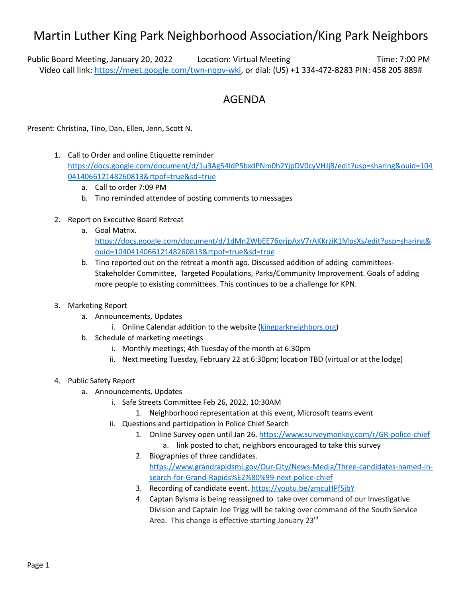## Martin Luther King Park Neighborhood Association/King Park Neighbors

Public Board Meeting, January 20, 2022 Location: Virtual Meeting The Time: 7:00 PM Video call link: [https://meet.google.com/twn-nqpv-wki,](https://meet.google.com/twn-nqpv-wki) or dial: (US) +1 334-472-8283 PIN: 458 205 889#

## AGENDA

Present: Christina, Tino, Dan, Ellen, Jenn, Scott N.

- 1. Call to Order and online Etiquette reminder [https://docs.google.com/document/d/1u3Ag54ldP5bxdPNm0h2YjpDV0cyVHJj8/edit?usp=sharing&ouid=104](https://docs.google.com/document/d/1u3Ag54ldP5bxdPNm0h2YjpDV0cyVHJj8/edit?usp=sharing&ouid=104041406612148260813&rtpof=true&sd=true) [041406612148260813&rtpof=true&sd=true](https://docs.google.com/document/d/1u3Ag54ldP5bxdPNm0h2YjpDV0cyVHJj8/edit?usp=sharing&ouid=104041406612148260813&rtpof=true&sd=true)
	- a. Call to order 7:09 PM
	- b. Tino reminded attendee of posting comments to messages
- 2. Report on Executive Board Retreat
	- a. Goal Matrix.
		- [https://docs.google.com/document/d/1dMn2WbEE76orjpAxV7rAKKrziK1MpsXs/edit?usp=sharing&](https://docs.google.com/document/d/1dMn2WbEE76orjpAxV7rAKKrziK1MpsXs/edit?usp=sharing&ouid=104041406612148260813&rtpof=true&sd=true) [ouid=104041406612148260813&rtpof=true&sd=true](https://docs.google.com/document/d/1dMn2WbEE76orjpAxV7rAKKrziK1MpsXs/edit?usp=sharing&ouid=104041406612148260813&rtpof=true&sd=true)
	- b. Tino reported out on the retreat a month ago. Discussed addition of adding committees-Stakeholder Committee, Targeted Populations, Parks/Community Improvement. Goals of adding more people to existing committees. This continues to be a challenge for KPN.
- 3. Marketing Report
	- a. Announcements, Updates
		- i. Online Calendar addition to the website ([kingparkneighbors.org\)](https://www.kingparkneighbors.org/)
	- b. Schedule of marketing meetings
		- i. Monthly meetings; 4th Tuesday of the month at 6:30pm
		- ii. Next meeting Tuesday, February 22 at 6:30pm; location TBD (virtual or at the lodge)
- 4. Public Safety Report
	- a. Announcements, Updates
		- i. Safe Streets Committee Feb 26, 2022, 10:30AM
			- 1. Neighborhood representation at this event, Microsoft teams event
		- ii. Questions and participation in Police Chief Search
			- 1. Online Survey open until Jan 26. <https://www.surveymonkey.com/r/GR-police-chief>
			- a. link posted to chat, neighbors encouraged to take this survey 2. Biographies of three candidates.

[https://www.grandrapidsmi.gov/Our-City/News-Media/Three-candidates-named-in](https://www.grandrapidsmi.gov/Our-City/News-Media/Three-candidates-named-in-search-for-Grand-Rapids%E2%80%99-next-police-chief)[search-for-Grand-Rapids%E2%80%99-next-police-chief](https://www.grandrapidsmi.gov/Our-City/News-Media/Three-candidates-named-in-search-for-Grand-Rapids%E2%80%99-next-police-chief)

- 3. Recording of candidate event. <https://youtu.be/zmcuHPfSjbY>
- 4. Captan Bylsma is being reassigned to take over command of our Investigative Division and Captain Joe Trigg will be taking over command of the South Service Area. This change is effective starting January 23<sup>rd</sup>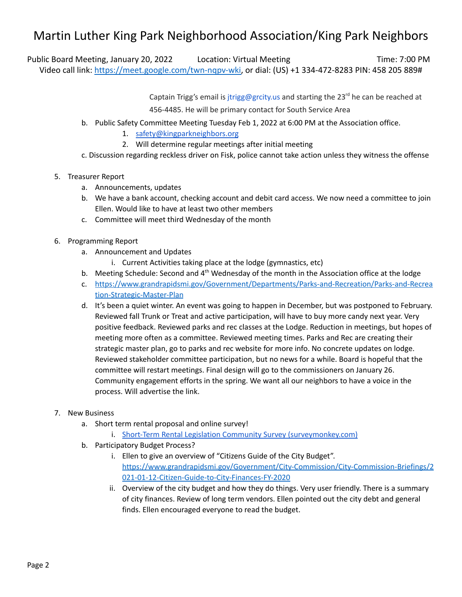## Martin Luther King Park Neighborhood Association/King Park Neighbors

Public Board Meeting, January 20, 2022 Location: Virtual Meeting The Time: 7:00 PM Video call link: [https://meet.google.com/twn-nqpv-wki,](https://meet.google.com/twn-nqpv-wki) or dial: (US) +1 334-472-8283 PIN: 458 205 889#

Captain Trigg's email is jtrigg@grcity.us and starting the 23<sup>rd</sup> he can be reached at

456-4485. He will be primary contact for South Service Area

- b. Public Safety Committee Meeting Tuesday Feb 1, 2022 at 6:00 PM at the Association office.
	- 1. [safety@kingparkneighbors.org](mailto:safety@kingparkneighbors.org)
	- 2. Will determine regular meetings after initial meeting

c. Discussion regarding reckless driver on Fisk, police cannot take action unless they witness the offense

- 5. Treasurer Report
	- a. Announcements, updates
	- b. We have a bank account, checking account and debit card access. We now need a committee to join Ellen. Would like to have at least two other members
	- c. Committee will meet third Wednesday of the month
- 6. Programming Report
	- a. Announcement and Updates
		- i. Current Activities taking place at the lodge (gymnastics, etc)
	- b. Meeting Schedule: Second and 4<sup>th</sup> Wednesday of the month in the Association office at the lodge
	- c. [https://www.grandrapidsmi.gov/Government/Departments/Parks-and-Recreation/Parks-and-Recrea](https://www.grandrapidsmi.gov/Government/Departments/Parks-and-Recreation/Parks-and-Recreation-Strategic-Master-Plan) [tion-Strategic-Master-Plan](https://www.grandrapidsmi.gov/Government/Departments/Parks-and-Recreation/Parks-and-Recreation-Strategic-Master-Plan)
	- d. It's been a quiet winter. An event was going to happen in December, but was postponed to February. Reviewed fall Trunk or Treat and active participation, will have to buy more candy next year. Very positive feedback. Reviewed parks and rec classes at the Lodge. Reduction in meetings, but hopes of meeting more often as a committee. Reviewed meeting times. Parks and Rec are creating their strategic master plan, go to parks and rec website for more info. No concrete updates on lodge. Reviewed stakeholder committee participation, but no news for a while. Board is hopeful that the committee will restart meetings. Final design will go to the commissioners on January 26. Community engagement efforts in the spring. We want all our neighbors to have a voice in the process. Will advertise the link.
- 7. New Business
	- a. Short term rental proposal and online survey!
		- i. Short-Term Rental Legislation Community Survey [\(surveymonkey.com\)](https://www.surveymonkey.com/r/5MJSNSH)
	- b. Participatory Budget Process?
		- i. Ellen to give an overview of "Citizens Guide of the City Budget". [https://www.grandrapidsmi.gov/Government/City-Commission/City-Commission-Briefings/2](https://www.grandrapidsmi.gov/Government/City-Commission/City-Commission-Briefings/2021-01-12-Citizen-Guide-to-City-Finances-FY-2020) [021-01-12-Citizen-Guide-to-City-Finances-FY-2020](https://www.grandrapidsmi.gov/Government/City-Commission/City-Commission-Briefings/2021-01-12-Citizen-Guide-to-City-Finances-FY-2020)
		- ii. Overview of the city budget and how they do things. Very user friendly. There is a summary of city finances. Review of long term vendors. Ellen pointed out the city debt and general finds. Ellen encouraged everyone to read the budget.